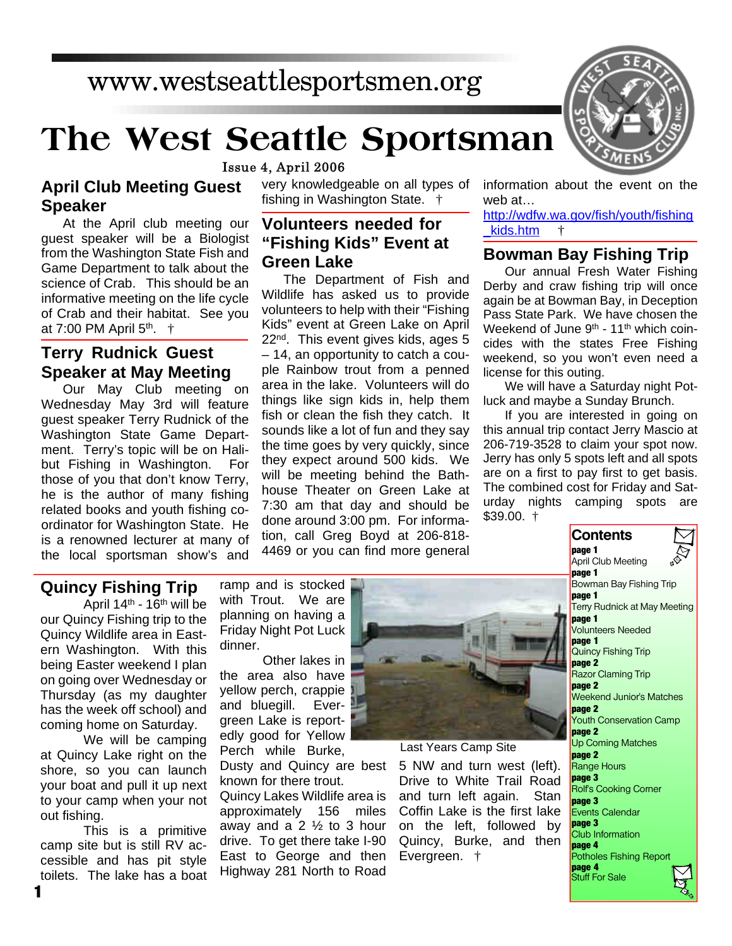## www.westseattlesportsmen.org

# **The West Seattle Sportsman**

Issue 4, April 2006

**April Club Meeting Guest Speaker**

At the April club meeting our guest speaker will be a Biologist from the Washington State Fish and Game Department to talk about the science of Crab. This should be an informative meeting on the life cycle of Crab and their habitat. See you at 7:00 PM April 5<sup>th</sup>. †

#### **Terry Rudnick Guest Speaker at May Meeting**

Our May Club meeting on Wednesday May 3rd will feature guest speaker Terry Rudnick of the Washington State Game Department. Terry's topic will be on Halibut Fishing in Washington. For those of you that don't know Terry, he is the author of many fishing related books and youth fishing coordinator for Washington State. He is a renowned lecturer at many of the local sportsman show's and

very knowledgeable on all types of fishing in Washington State. †

#### **Volunteers needed for "Fishing Kids" Event at Green Lake**

The Department of Fish and Wildlife has asked us to provide volunteers to help with their "Fishing Kids" event at Green Lake on April 22<sup>nd</sup>. This event gives kids, ages 5 – 14, an opportunity to catch a couple Rainbow trout from a penned area in the lake. Volunteers will do things like sign kids in, help them fish or clean the fish they catch. It sounds like a lot of fun and they say the time goes by very quickly, since they expect around 500 kids. We will be meeting behind the Bathhouse Theater on Green Lake at 7:30 am that day and should be done around 3:00 pm. For information, call Greg Boyd at 206-818- 4469 or you can find more general

information about the event on the web at…

http://wdfw.wa.gov/fish/youth/fishing \_kids.htm †

### **Bowman Bay Fishing Trip**

Our annual Fresh Water Fishing Derby and craw fishing trip will once again be at Bowman Bay, in Deception Pass State Park. We have chosen the Weekend of June 9<sup>th</sup> - 11<sup>th</sup> which coincides with the states Free Fishing weekend, so you won't even need a license for this outing.

We will have a Saturday night Potluck and maybe a Sunday Brunch.

If you are interested in going on this annual trip contact Jerry Mascio at 206-719-3528 to claim your spot now. Jerry has only 5 spots left and all spots are on a first to pay first to get basis. The combined cost for Friday and Saturday nights camping spots are  $$39.00.$  †

#### **Quincy Fishing Trip**

April  $14<sup>th</sup>$  -  $16<sup>th</sup>$  will be our Quincy Fishing trip to the Quincy Wildlife area in Eastern Washington. With this being Easter weekend I plan on going over Wednesday or Thursday (as my daughter has the week off school) and coming home on Saturday.

We will be camping at Quincy Lake right on the shore, so you can launch your boat and pull it up next to your camp when your not out fishing.

This is a primitive camp site but is still RV accessible and has pit style toilets. The lake has a boat ramp and is stocked with Trout. We are planning on having a Friday Night Pot Luck dinner.

Other lakes in the area also have yellow perch, crappie and bluegill. Evergreen Lake is reportedly good for Yellow Perch while Burke,

Dusty and Quincy are best known for there trout.

Quincy Lakes Wildlife area is approximately 156 miles away and a  $2 \frac{1}{2}$  to 3 hour drive. To get there take I-90 East to George and then Highway 281 North to Road



Last Years Camp Site

5 NW and turn west (left). Drive to White Trail Road and turn left again. Stan Coffin Lake is the first lake on the left, followed by Quincy, Burke, and then Evergreen. †



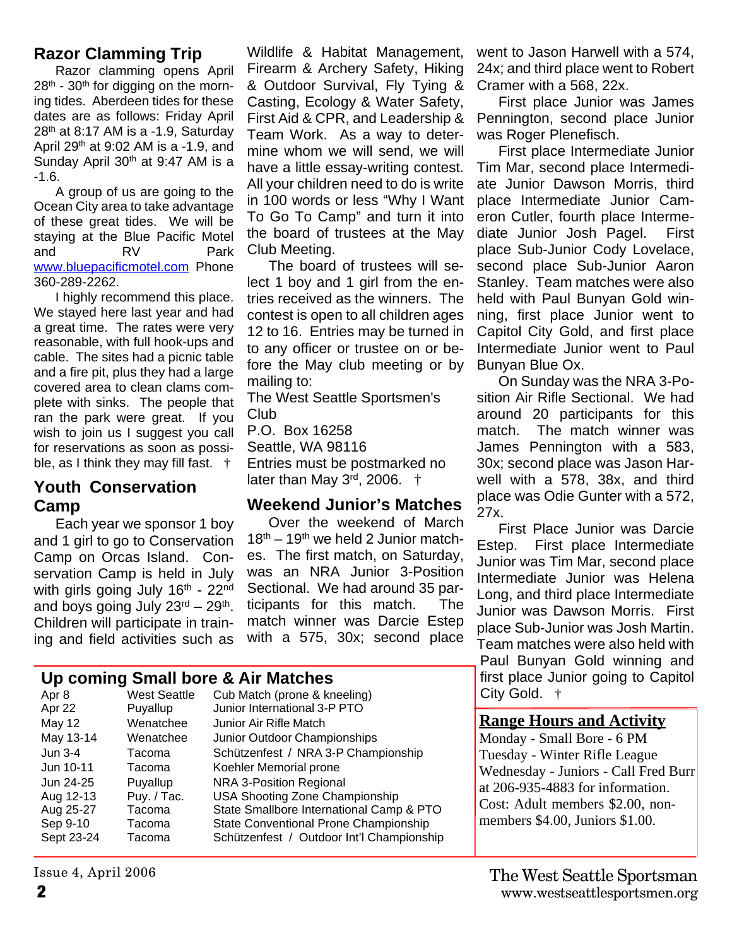#### **Razor Clamming Trip**

Razor clamming opens April  $28<sup>th</sup>$  - 30<sup>th</sup> for digging on the morning tides. Aberdeen tides for these dates are as follows: Friday April 28<sup>th</sup> at 8:17 AM is a -1.9, Saturday April 29th at 9:02 AM is a -1.9, and Sunday April 30<sup>th</sup> at 9:47 AM is a -1.6.

A group of us are going to the Ocean City area to take advantage of these great tides. We will be staying at the Blue Pacific Motel and RV Park www.bluepacificmotel.com Phone 360-289-2262.

I highly recommend this place. We stayed here last year and had a great time. The rates were very reasonable, with full hook-ups and cable. The sites had a picnic table and a fire pit, plus they had a large covered area to clean clams complete with sinks. The people that ran the park were great. If you wish to join us I suggest you call for reservations as soon as possible, as I think they may fill fast. †

#### **Youth Conservation Camp**

Each year we sponsor 1 boy and 1 girl to go to Conservation Camp on Orcas Island. Conservation Camp is held in July with girls going July 16<sup>th</sup> - 22<sup>nd</sup> and boys going July 23<sup>rd</sup> – 29<sup>th</sup>. Children will participate in training and field activities such as

Wildlife & Habitat Management, Firearm & Archery Safety, Hiking & Outdoor Survival, Fly Tying & Casting, Ecology & Water Safety, First Aid & CPR, and Leadership & Team Work. As a way to determine whom we will send, we will have a little essay-writing contest. All your children need to do is write in 100 words or less "Why I Want To Go To Camp" and turn it into the board of trustees at the May Club Meeting.

The board of trustees will select 1 boy and 1 girl from the entries received as the winners. The contest is open to all children ages 12 to 16. Entries may be turned in to any officer or trustee on or before the May club meeting or by mailing to:

The West Seattle Sportsmen's Club

P.O. Box 16258 Seattle, WA 98116 Entries must be postmarked no later than May  $3<sup>rd</sup>$ , 2006.  $\dagger$ 

#### **Weekend Junior's Matches**

Over the weekend of March 18<sup>th</sup> – 19<sup>th</sup> we held 2 Junior matches. The first match, on Saturday, was an NRA Junior 3-Position Sectional. We had around 35 participants for this match. The match winner was Darcie Estep with a 575, 30x; second place

#### **Up coming Small bore & Air Matches**

| Apr 8      | <b>West Seattle</b> | Cub Match (prone & kneeling)              |
|------------|---------------------|-------------------------------------------|
| Apr 22     | Puyallup            | Junior International 3-P PTO              |
| May 12     | Wenatchee           | Junior Air Rifle Match                    |
| May 13-14  | Wenatchee           | Junior Outdoor Championships              |
| Jun 3-4    | Tacoma              | Schützenfest / NRA 3-P Championship       |
| Jun 10-11  | Tacoma              | Koehler Memorial prone                    |
| Jun 24-25  | Puyallup            | NRA 3-Position Regional                   |
| Aug 12-13  | Puy. / Tac.         | <b>USA Shooting Zone Championship</b>     |
| Aug 25-27  | Tacoma              | State Smallbore International Camp & PTO  |
| Sep 9-10   | Tacoma              | State Conventional Prone Championship     |
| Sept 23-24 | Tacoma              | Schützenfest / Outdoor Int'l Championship |
|            |                     |                                           |

went to Jason Harwell with a 574, 24x; and third place went to Robert Cramer with a 568, 22x.

First place Junior was James Pennington, second place Junior was Roger Plenefisch.

First place Intermediate Junior Tim Mar, second place Intermediate Junior Dawson Morris, third place Intermediate Junior Cameron Cutler, fourth place Intermediate Junior Josh Pagel. First place Sub-Junior Cody Lovelace, second place Sub-Junior Aaron Stanley. Team matches were also held with Paul Bunyan Gold winning, first place Junior went to Capitol City Gold, and first place Intermediate Junior went to Paul Bunyan Blue Ox.

On Sunday was the NRA 3-Position Air Rifle Sectional. We had around 20 participants for this match. The match winner was James Pennington with a 583, 30x; second place was Jason Harwell with a 578, 38x, and third place was Odie Gunter with a 572, 27x.

First Place Junior was Darcie Estep. First place Intermediate Junior was Tim Mar, second place Intermediate Junior was Helena Long, and third place Intermediate Junior was Dawson Morris. First place Sub-Junior was Josh Martin. Team matches were also held with Paul Bunyan Gold winning and first place Junior going to Capitol City Gold. †

#### **Range Hours and Activity**

Monday - Small Bore - 6 PM Tuesday - Winter Rifle League Wednesday - Juniors - Call Fred Burr at 206-935-4883 for information. Cost: Adult members \$2.00, nonmembers \$4.00, Juniors \$1.00.

Issue 4, April 2006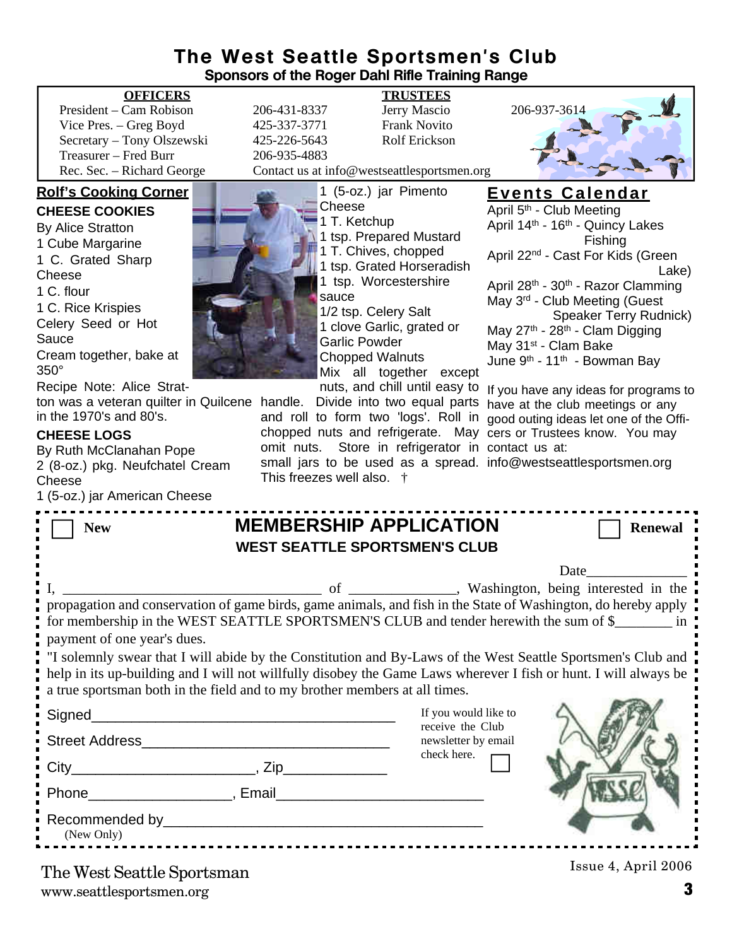### **The West Seattle Sportsmen's Club Sponsors of the Roger Dahl Rifle Training Range**

President – Cam Robison 206-431-8337 Jerry Mascio 206-937-3614<br>Vice Pres. – Greg Boyd 425-337-3771 Frank Novito Vice Pres. – Greg Boyd  $425-337-3771$ Secretary – Tony Olszewski 425-226-5643 Rolf Erickson Treasurer – Fred Burr 206-935-4883<br>Rec. Sec. – Richard George Contact us at in

#### **Rolf's Cooking Corner**

**CHEESE COOKIES** By Alice Stratton 1 Cube Margarine 1 C. Grated Sharp **Cheese** 1 C. flour 1 C. Rice Krispies Celery Seed or Hot Sauce Cream together, bake at 350° Recipe Note: Alice Strat-

ton was a veteran quilter in Quilcene handle. Divide into two equal parts have at the club meetings or any in the 1970's and 80's.

#### **CHEESE LOGS**

By Ruth McClanahan Pope 2 (8-oz.) pkg. Neufchatel Cream **Cheese** 

| 1 (5-oz.) jar American Cheese                                                                                                                                                                                                                                                                                  |                                                                                       |                                                        |                     |  |  |
|----------------------------------------------------------------------------------------------------------------------------------------------------------------------------------------------------------------------------------------------------------------------------------------------------------------|---------------------------------------------------------------------------------------|--------------------------------------------------------|---------------------|--|--|
| <b>New</b>                                                                                                                                                                                                                                                                                                     | <b>MEMBERSHIP APPLICATION</b>                                                         |                                                        | <b>Renewal</b>      |  |  |
| <b>WEST SEATTLE SPORTSMEN'S CLUB</b>                                                                                                                                                                                                                                                                           |                                                                                       |                                                        |                     |  |  |
|                                                                                                                                                                                                                                                                                                                |                                                                                       |                                                        | Date <u>Date</u>    |  |  |
|                                                                                                                                                                                                                                                                                                                |                                                                                       |                                                        |                     |  |  |
| payment of one year's dues.                                                                                                                                                                                                                                                                                    | for membership in the WEST SEATTLE SPORTSMEN'S CLUB and tender herewith the sum of \$ |                                                        |                     |  |  |
| "I solemnly swear that I will abide by the Constitution and By-Laws of the West Seattle Sportsmen's Club and<br>help in its up-building and I will not willfully disobey the Game Laws wherever I fish or hunt. I will always be<br>a true sportsman both in the field and to my brother members at all times. |                                                                                       |                                                        |                     |  |  |
| Signed_                                                                                                                                                                                                                                                                                                        |                                                                                       | If you would like to                                   |                     |  |  |
| Street Address Management and Changes and Changes and Changes and Changes and Changes and Changes and Changes and Changes and Changes and Changes and Changes and Changes and Changes and Changes and Changes and Changes and                                                                                  |                                                                                       | receive the Club<br>newsletter by email<br>check here. |                     |  |  |
|                                                                                                                                                                                                                                                                                                                |                                                                                       |                                                        |                     |  |  |
|                                                                                                                                                                                                                                                                                                                |                                                                                       |                                                        |                     |  |  |
| (New Only)                                                                                                                                                                                                                                                                                                     |                                                                                       |                                                        |                     |  |  |
| The West Soattle Sportsman                                                                                                                                                                                                                                                                                     |                                                                                       |                                                        | Issue 4, April 2006 |  |  |

The West Seattle Sportsman

www.seattlesportsmen.org **3**

**OFFICERS TRUSTEES**



Contact us at info@westseattlesportsmen.org

1 (5-oz.) jar Pimento **Cheese** 1 T. Ketchup 1 tsp. Prepared Mustard 1 T. Chives, chopped 1 tsp. Grated Horseradish 1 tsp. Worcestershire sauce 1/2 tsp. Celery Salt 1 clove Garlic, grated or Garlic Powder Chopped Walnuts Mix all together except

and roll to form two 'logs'. Roll in good outing ideas let one of the Offichopped nuts and refrigerate. May cers or Trustees know. You may omit nuts. Store in refrigerator in contact us at: small jars to be used as a spread. info@westseattlesportsmen.orgThis freezes well also. †

#### **Events Calendar**

April 5<sup>th</sup> - Club Meeting April 14<sup>th</sup> - 16<sup>th</sup> - Quincy Lakes Fishing April 22nd - Cast For Kids (Green Lake) April 28<sup>th</sup> - 30<sup>th</sup> - Razor Clamming May 3rd - Club Meeting (Guest Speaker Terry Rudnick) May 27<sup>th</sup> - 28<sup>th</sup> - Clam Digging May 31<sup>st</sup> - Clam Bake June  $9<sup>th</sup>$  - 11<sup>th</sup> - Bowman Bay

nuts, and chill until easy to If you have any ideas for programs to